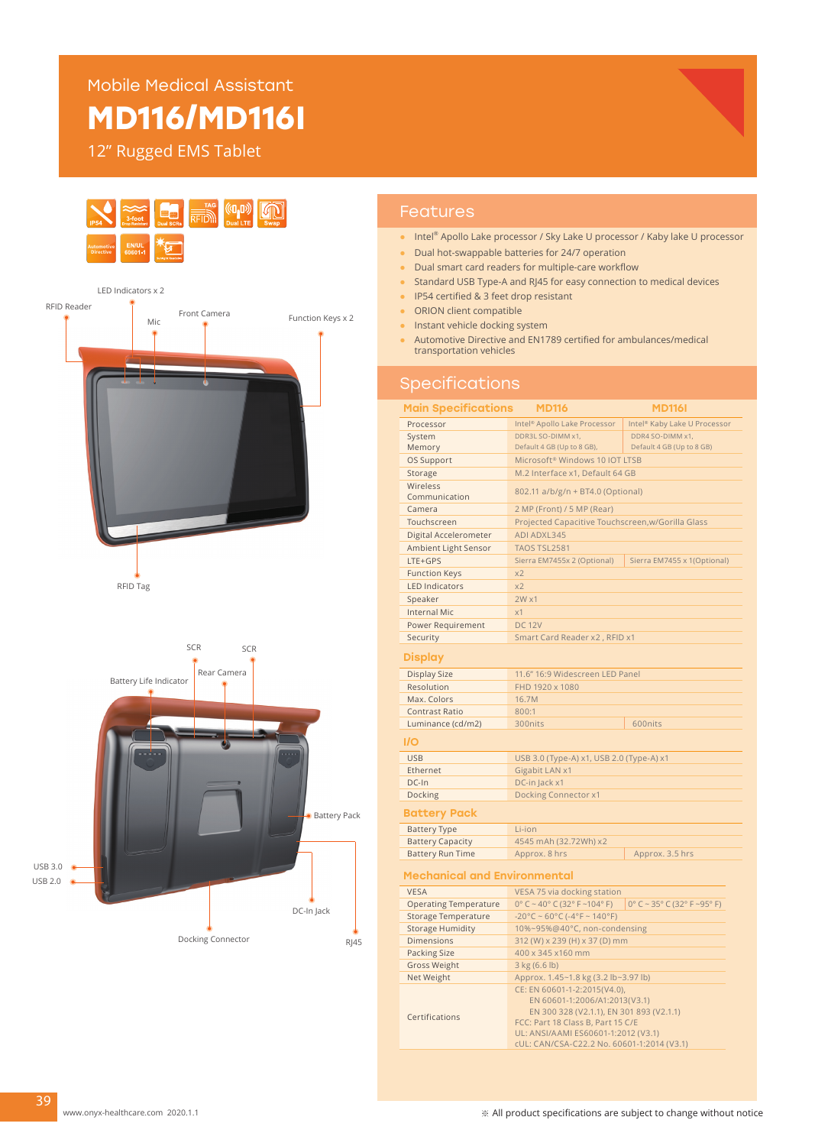Mobile Medical Assistant

# **MD116/MD116I**

12" Rugged EMS Tablet



- Intel<sup>®</sup> Apollo Lake processor / Sky Lake U processor / Kaby lake U processor
- Dual hot-swappable batteries for 24/7 operation
- Dual smart card readers for multiple-care workflow
- Standard USB Type-A and RJ45 for easy connection to medical devices
- IP54 certified & 3 feet drop resistant
- ORION client compatible
- Instant vehicle docking system
- Automotive Directive and EN1789 certified for ambulances/medical transportation vehicles

### **Specifications**

| <b>Main Specifications</b><br><b>MD116</b><br><b>MD1161</b> |                                                                                                                                                                                                                                     |                                          |  |
|-------------------------------------------------------------|-------------------------------------------------------------------------------------------------------------------------------------------------------------------------------------------------------------------------------------|------------------------------------------|--|
| Processor                                                   | Intel <sup>®</sup> Apollo Lake Processor                                                                                                                                                                                            | Intel <sup>®</sup> Kaby Lake U Processor |  |
| System                                                      | DDR3L SO-DIMM x1,                                                                                                                                                                                                                   | DDR4 SO-DIMM x1,                         |  |
| Memory                                                      | Default 4 GB (Up to 8 GB),                                                                                                                                                                                                          | Default 4 GB (Up to 8 GB)                |  |
| OS Support                                                  | Microsoft <sup>®</sup> Windows 10 IOT LTSB                                                                                                                                                                                          |                                          |  |
| Storage                                                     | M.2 Interface x1, Default 64 GB                                                                                                                                                                                                     |                                          |  |
| Wireless<br>Communication                                   | 802.11 a/b/g/n + BT4.0 (Optional)                                                                                                                                                                                                   |                                          |  |
| Camera                                                      | 2 MP (Front) / 5 MP (Rear)                                                                                                                                                                                                          |                                          |  |
| Touchscreen                                                 | Projected Capacitive Touchscreen, w/Gorilla Glass                                                                                                                                                                                   |                                          |  |
| Digital Accelerometer                                       | ADI ADXL345                                                                                                                                                                                                                         |                                          |  |
| Ambient Light Sensor                                        | TAOS TSL2581                                                                                                                                                                                                                        |                                          |  |
| LTE+GPS                                                     | Sierra EM7455x 2 (Optional)                                                                                                                                                                                                         | Sierra EM7455 x 1(Optional)              |  |
| <b>Function Keys</b>                                        | x2                                                                                                                                                                                                                                  |                                          |  |
| <b>LED Indicators</b>                                       | x <sub>2</sub>                                                                                                                                                                                                                      |                                          |  |
| Speaker                                                     | $2W \times 1$                                                                                                                                                                                                                       |                                          |  |
| <b>Internal Mic</b>                                         | x1                                                                                                                                                                                                                                  |                                          |  |
| Power Requirement                                           | <b>DC 12V</b>                                                                                                                                                                                                                       |                                          |  |
| Security                                                    | Smart Card Reader x2, RFID x1                                                                                                                                                                                                       |                                          |  |
| Display                                                     |                                                                                                                                                                                                                                     |                                          |  |
| <b>Display Size</b>                                         | 11.6" 16:9 Widescreen LED Panel                                                                                                                                                                                                     |                                          |  |
| Resolution                                                  | FHD 1920 x 1080                                                                                                                                                                                                                     |                                          |  |
| Max. Colors                                                 | 16.7M                                                                                                                                                                                                                               |                                          |  |
| <b>Contrast Ratio</b>                                       | 800:1                                                                                                                                                                                                                               |                                          |  |
| Luminance (cd/m2)                                           | 300nits                                                                                                                                                                                                                             | 600nits                                  |  |
| I/O                                                         |                                                                                                                                                                                                                                     |                                          |  |
| <b>USB</b>                                                  | USB 3.0 (Type-A) x1, USB 2.0 (Type-A) x1                                                                                                                                                                                            |                                          |  |
| Ethernet                                                    | Gigabit LAN x1                                                                                                                                                                                                                      |                                          |  |
| DC-In                                                       | DC-in Jack x1                                                                                                                                                                                                                       |                                          |  |
| Docking                                                     | <b>Docking Connector x1</b>                                                                                                                                                                                                         |                                          |  |
| <b>Battery Pack</b>                                         |                                                                                                                                                                                                                                     |                                          |  |
| <b>Battery Type</b>                                         | Li-ion                                                                                                                                                                                                                              |                                          |  |
| <b>Battery Capacity</b>                                     | 4545 mAh (32.72Wh) x2                                                                                                                                                                                                               |                                          |  |
| <b>Battery Run Time</b>                                     | Approx. 8 hrs                                                                                                                                                                                                                       | Approx. 3.5 hrs                          |  |
| Mechanical and Environmental                                |                                                                                                                                                                                                                                     |                                          |  |
| <b>VESA</b>                                                 | VESA 75 via docking station                                                                                                                                                                                                         |                                          |  |
| <b>Operating Temperature</b>                                | $0^{\circ}$ C ~ 40° C (32° F ~104° F)                                                                                                                                                                                               | $0^{\circ}$ C ~ 35° C (32° F ~95° F)     |  |
| <b>Storage Temperature</b>                                  | $-20^{\circ}$ C ~ 60°C (-4°F ~ 140°F)                                                                                                                                                                                               |                                          |  |
| <b>Storage Humidity</b>                                     | 10%~95%@40°C, non-condensing                                                                                                                                                                                                        |                                          |  |
| <b>Dimensions</b>                                           | 312 (W) x 239 (H) x 37 (D) mm                                                                                                                                                                                                       |                                          |  |
| <b>Packing Size</b>                                         | 400 x 345 x160 mm                                                                                                                                                                                                                   |                                          |  |
| <b>Gross Weight</b>                                         | 3 kg (6.6 lb)                                                                                                                                                                                                                       |                                          |  |
| Net Weight                                                  | Approx. 1.45~1.8 kg (3.2 lb~3.97 lb)                                                                                                                                                                                                |                                          |  |
| Certifications                                              | CE: EN 60601-1-2:2015(V4.0),<br>EN 60601-1:2006/A1:2013(V3.1)<br>EN 300 328 (V2.1.1), EN 301 893 (V2.1.1)<br>FCC: Part 18 Class B, Part 15 C/E<br>UL: ANSI/AAMI ES60601-1:2012 (V3.1)<br>cUL: CAN/CSA-C22.2 No. 60601-1:2014 (V3.1) |                                          |  |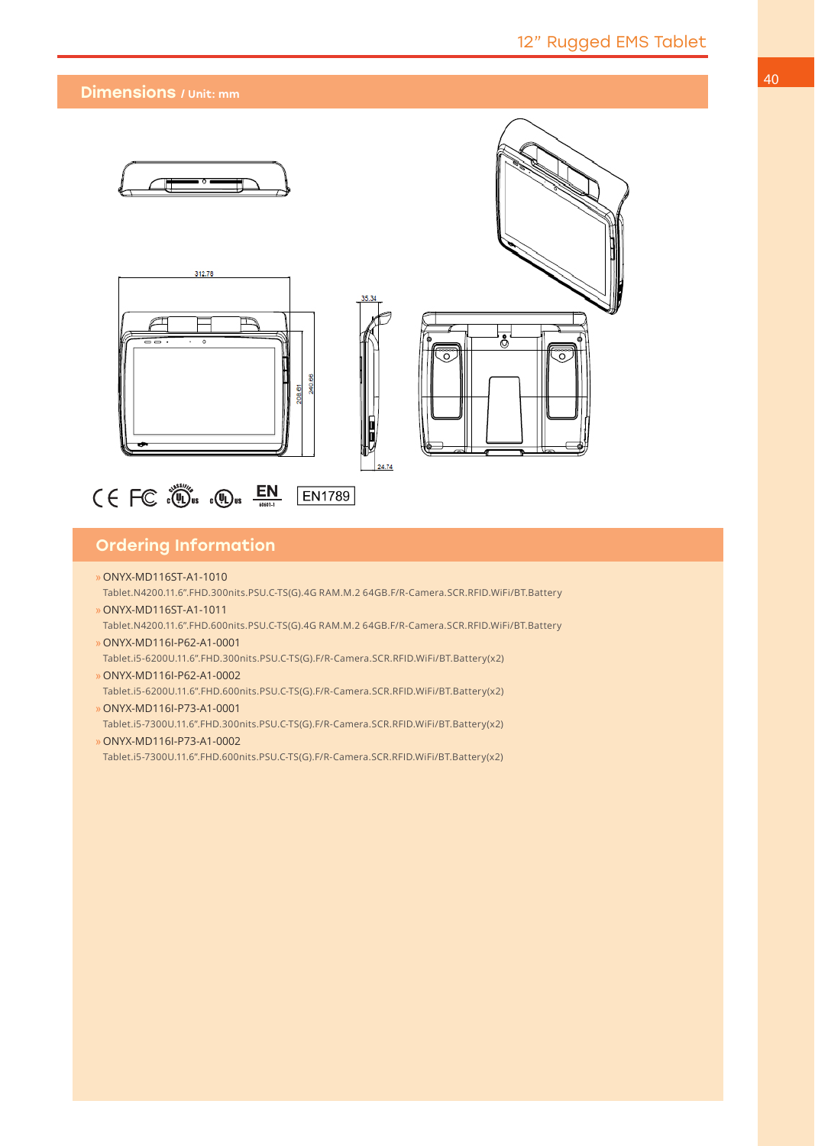#### Dimensions / Unit: mm



 $\zeta \in FC$   $\overset{\circ}{\circ}$   $\overset{\circ}{\bullet}$   $\overset{\circ}{\bullet}$   $\overset{\circ}{\bullet}$   $\overset{\circ}{\bullet}$   $\overset{\circ}{\bullet}$   $\overset{\circ}{\bullet}$   $\overset{\circ}{\bullet}$   $\overset{\circ}{\bullet}$   $\overset{\circ}{\bullet}$   $\overset{\circ}{\bullet}$   $\overset{\circ}{\bullet}$   $\overset{\circ}{\bullet}$   $\overset{\circ}{\bullet}$   $\overset{\circ}{\bullet}$   $\overset{\circ}{\bullet}$   $\overset{\circ}{\bullet}$   $\overset{\circ}{\$ **EN1789** 

### Ordering Information

- »ONYX-MD116ST-A1-1010
- Tablet.N4200.11.6".FHD.300nits.PSU.C-TS(G).4G RAM.M.2 64GB.F/R-Camera.SCR.RFID.WiFi/BT.Battery
- »ONYX-MD116ST-A1-1011 Tablet.N4200.11.6".FHD.600nits.PSU.C-TS(G).4G RAM.M.2 64GB.F/R-Camera.SCR.RFID.WiFi/BT.Battery »ONYX-MD116I-P62-A1-0001
- Tablet.i5-6200U.11.6".FHD.300nits.PSU.C-TS(G).F/R-Camera.SCR.RFID.WiFi/BT.Battery(x2)
- »ONYX-MD116I-P62-A1-0002
- Tablet.i5-6200U.11.6".FHD.600nits.PSU.C-TS(G).F/R-Camera.SCR.RFID.WiFi/BT.Battery(x2) »ONYX-MD116I-P73-A1-0001

Tablet.i5-7300U.11.6".FHD.300nits.PSU.C-TS(G).F/R-Camera.SCR.RFID.WiFi/BT.Battery(x2) »ONYX-MD116I-P73-A1-0002

Tablet.i5-7300U.11.6".FHD.600nits.PSU.C-TS(G).F/R-Camera.SCR.RFID.WiFi/BT.Battery(x2)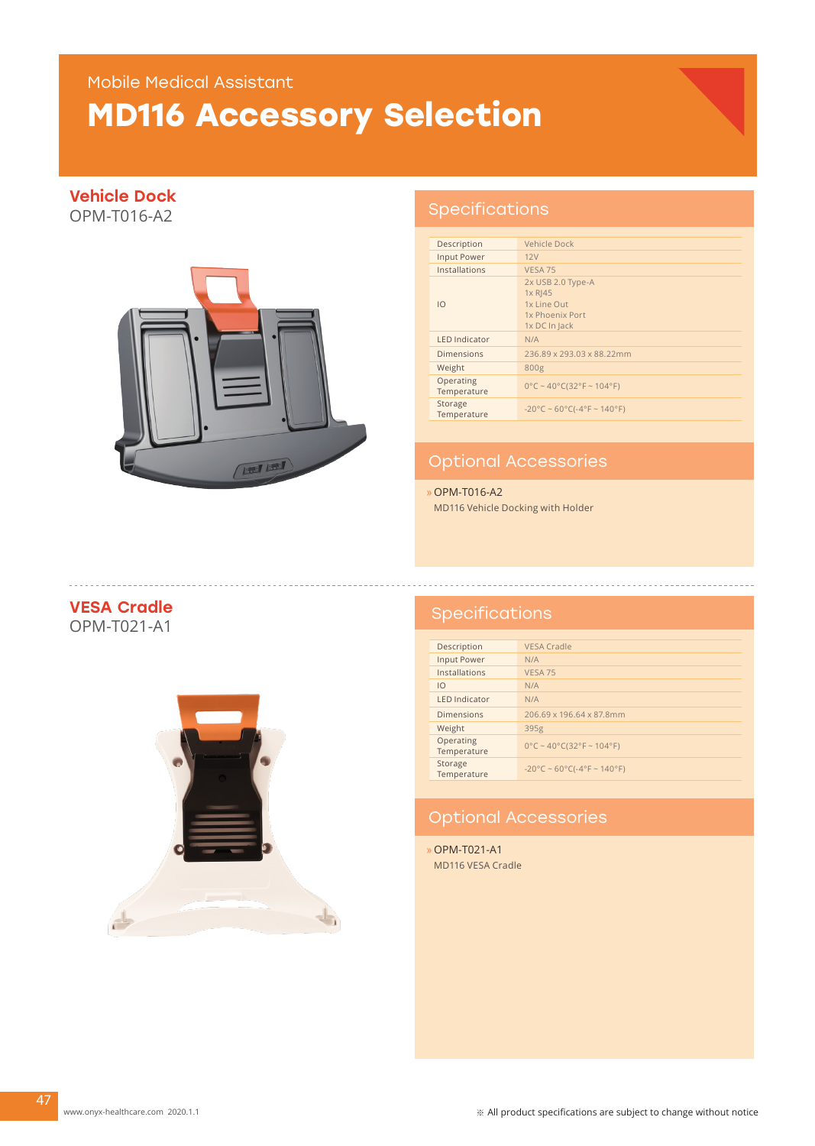### Mobile Medical Assistant

# **MD116 Accessory Selection**

### Vehicle Dock

OPM-T016-A2



### Specifications

| Description              | Vehicle Dock                                                                       |
|--------------------------|------------------------------------------------------------------------------------|
| Input Power              | 12V                                                                                |
| Installations            | VESA <sub>75</sub>                                                                 |
| $\overline{10}$          | 2x USB 2.0 Type-A<br>$1x R$  45<br>1x Line Out<br>1x Phoenix Port<br>1x DC In Jack |
| <b>LED Indicator</b>     | N/A                                                                                |
| <b>Dimensions</b>        | 236.89 x 293.03 x 88.22mm                                                          |
| Weight                   | 800g                                                                               |
| Operating<br>Temperature | $0^{\circ}$ C ~ 40°C(32°F ~ 104°F)                                                 |
| Storage<br>Temperature   | $-20^{\circ}$ C ~ 60°C(-4°F ~ 140°F)                                               |

### Optional Accessories

»OPM-T016-A2 MD116 Vehicle Docking with Holder

# **VESA Cradle**<br>OPM-T021-A1



### Specifications

| Description              | VESA Cradle                          |
|--------------------------|--------------------------------------|
| Input Power              | N/A                                  |
| Installations            | <b>VESA 75</b>                       |
| 10                       | N/A                                  |
| <b>LED Indicator</b>     | N/A                                  |
| <b>Dimensions</b>        | 206.69 x 196.64 x 87.8mm             |
| Weight                   | 395g                                 |
| Operating<br>Temperature | $0^{\circ}$ C ~ 40°C(32°F ~ 104°F)   |
| Storage<br>Temperature   | $-20^{\circ}$ C ~ 60°C(-4°F ~ 140°F) |

### Optional Accessories

»OPM-T021-A1 MD116 VESA Cradle

47